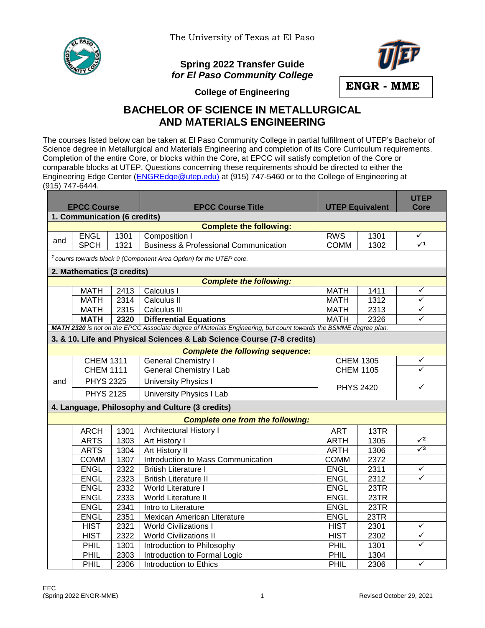

The University of Texas at El Paso

## **Spring 2022 Transfer Guide** *for El Paso Community College*



**College of Engineering**

## **BACHELOR OF SCIENCE IN METALLURGICAL AND MATERIALS ENGINEERING**

The courses listed below can be taken at El Paso Community College in partial fulfillment of UTEP's Bachelor of Science degree in Metallurgical and Materials Engineering and completion of its Core Curriculum requirements. Completion of the entire Core, or blocks within the Core, at EPCC will satisfy completion of the Core or comparable blocks at UTEP. Questions concerning these requirements should be directed to either the Engineering Edge Center [\(ENGREdge@utep.edu\)](mailto:ENGREdge@utep.edu) at (915) 747-5460 or to the College of Engineering at (915) 747-6444.

| <b>EPCC Course</b>                                                                                               |                                                                                |      | <b>EPCC Course Title</b>                         | <b>UTEP Equivalent</b> |      | <b>UTEP</b><br>Core |  |  |  |  |  |  |
|------------------------------------------------------------------------------------------------------------------|--------------------------------------------------------------------------------|------|--------------------------------------------------|------------------------|------|---------------------|--|--|--|--|--|--|
| 1. Communication (6 credits)                                                                                     |                                                                                |      |                                                  |                        |      |                     |  |  |  |  |  |  |
| <b>Complete the following:</b>                                                                                   |                                                                                |      |                                                  |                        |      |                     |  |  |  |  |  |  |
|                                                                                                                  | <b>ENGL</b>                                                                    | 1301 | Composition I                                    | <b>RWS</b>             | 1301 | ✓                   |  |  |  |  |  |  |
| and                                                                                                              | <b>SPCH</b>                                                                    | 1321 | <b>Business &amp; Professional Communication</b> | <b>COMM</b>            | 1302 | $\sqrt{1}$          |  |  |  |  |  |  |
|                                                                                                                  | <sup>1</sup> counts towards block 9 (Component Area Option) for the UTEP core. |      |                                                  |                        |      |                     |  |  |  |  |  |  |
|                                                                                                                  | 2. Mathematics (3 credits)                                                     |      |                                                  |                        |      |                     |  |  |  |  |  |  |
| <b>Complete the following:</b>                                                                                   |                                                                                |      |                                                  |                        |      |                     |  |  |  |  |  |  |
|                                                                                                                  | <b>MATH</b>                                                                    | 2413 | Calculus I                                       | <b>MATH</b>            | 1411 | ✓                   |  |  |  |  |  |  |
|                                                                                                                  | <b>MATH</b>                                                                    | 2314 | Calculus II                                      | <b>MATH</b>            | 1312 | ✓                   |  |  |  |  |  |  |
|                                                                                                                  | <b>MATH</b>                                                                    | 2315 | Calculus III                                     | <b>MATH</b>            | 2313 | ✓                   |  |  |  |  |  |  |
|                                                                                                                  | <b>MATH</b>                                                                    | 2320 | <b>Differential Equations</b>                    | <b>MATH</b>            | 2326 | ✓                   |  |  |  |  |  |  |
| MATH 2320 is not on the EPCC Associate degree of Materials Engineering, but count towards the BSMME degree plan. |                                                                                |      |                                                  |                        |      |                     |  |  |  |  |  |  |
| 3. & 10. Life and Physical Sciences & Lab Science Course (7-8 credits)                                           |                                                                                |      |                                                  |                        |      |                     |  |  |  |  |  |  |
|                                                                                                                  |                                                                                |      | <b>Complete the following sequence:</b>          |                        |      |                     |  |  |  |  |  |  |
|                                                                                                                  | <b>CHEM 1311</b>                                                               |      | <b>General Chemistry I</b>                       | <b>CHEM 1305</b>       |      | ✓                   |  |  |  |  |  |  |
|                                                                                                                  | <b>CHEM 1111</b>                                                               |      | <b>General Chemistry I Lab</b>                   | <b>CHEM 1105</b>       |      | ✓                   |  |  |  |  |  |  |
| and                                                                                                              | <b>PHYS 2325</b>                                                               |      | <b>University Physics I</b>                      | <b>PHYS 2420</b>       |      | $\checkmark$        |  |  |  |  |  |  |
|                                                                                                                  | <b>PHYS 2125</b>                                                               |      | <b>University Physics I Lab</b>                  |                        |      |                     |  |  |  |  |  |  |
|                                                                                                                  |                                                                                |      | 4. Language, Philosophy and Culture (3 credits)  |                        |      |                     |  |  |  |  |  |  |
|                                                                                                                  |                                                                                |      | <b>Complete one from the following:</b>          |                        |      |                     |  |  |  |  |  |  |
|                                                                                                                  | <b>ARCH</b>                                                                    | 1301 | <b>Architectural History I</b>                   | <b>ART</b>             | 13TR |                     |  |  |  |  |  |  |
|                                                                                                                  | <b>ARTS</b>                                                                    | 1303 | Art History I                                    | <b>ARTH</b>            | 1305 | $\sqrt{2}$          |  |  |  |  |  |  |
|                                                                                                                  | <b>ARTS</b>                                                                    | 1304 | Art History II                                   | <b>ARTH</b>            | 1306 | $\sqrt{3}$          |  |  |  |  |  |  |
|                                                                                                                  | <b>COMM</b>                                                                    | 1307 | Introduction to Mass Communication               | <b>COMM</b>            | 2372 |                     |  |  |  |  |  |  |
|                                                                                                                  | <b>ENGL</b>                                                                    | 2322 | <b>British Literature I</b>                      | <b>ENGL</b>            | 2311 | ✓                   |  |  |  |  |  |  |
|                                                                                                                  | <b>ENGL</b>                                                                    | 2323 | <b>British Literature II</b>                     | <b>ENGL</b>            | 2312 | ✓                   |  |  |  |  |  |  |
|                                                                                                                  | <b>ENGL</b>                                                                    | 2332 | World Literature I                               | <b>ENGL</b>            | 23TR |                     |  |  |  |  |  |  |
|                                                                                                                  | <b>ENGL</b>                                                                    | 2333 | World Literature II                              | <b>ENGL</b>            | 23TR |                     |  |  |  |  |  |  |
|                                                                                                                  | <b>ENGL</b>                                                                    | 2341 | Intro to Literature                              | <b>ENGL</b>            | 23TR |                     |  |  |  |  |  |  |
|                                                                                                                  | <b>ENGL</b>                                                                    | 2351 | Mexican American Literature                      | <b>ENGL</b>            | 23TR |                     |  |  |  |  |  |  |
|                                                                                                                  | <b>HIST</b>                                                                    | 2321 | <b>World Civilizations I</b>                     | <b>HIST</b>            | 2301 | ✓                   |  |  |  |  |  |  |
|                                                                                                                  | <b>HIST</b>                                                                    | 2322 | <b>World Civilizations II</b>                    | <b>HIST</b>            | 2302 | ✓                   |  |  |  |  |  |  |
|                                                                                                                  | PHIL                                                                           | 1301 | Introduction to Philosophy                       | PHIL                   | 1301 | ✓                   |  |  |  |  |  |  |
|                                                                                                                  | PHIL                                                                           | 2303 | Introduction to Formal Logic                     | PHIL                   | 1304 |                     |  |  |  |  |  |  |
|                                                                                                                  | PHIL                                                                           | 2306 | Introduction to Ethics                           | PHIL                   | 2306 | ✓                   |  |  |  |  |  |  |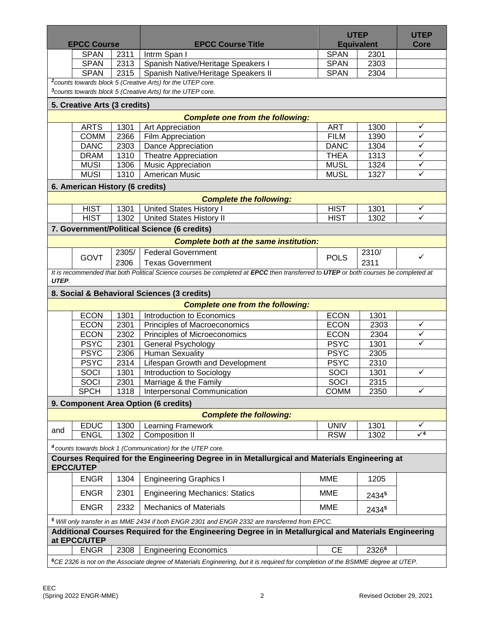| <b>EPCC Course</b>                                                                                                   |                                 |       | <b>EPCC Course Title</b>                                                                                                            |                 | <b>UTEP</b><br><b>Equivalent</b> |              |  |  |  |  |
|----------------------------------------------------------------------------------------------------------------------|---------------------------------|-------|-------------------------------------------------------------------------------------------------------------------------------------|-----------------|----------------------------------|--------------|--|--|--|--|
|                                                                                                                      | <b>SPAN</b>                     | 2311  | Intrm Span I                                                                                                                        | <b>SPAN</b>     | 2301                             |              |  |  |  |  |
|                                                                                                                      | <b>SPAN</b>                     | 2313  | Spanish Native/Heritage Speakers I                                                                                                  | <b>SPAN</b>     | 2303                             |              |  |  |  |  |
|                                                                                                                      | <b>SPAN</b>                     | 2315  | Spanish Native/Heritage Speakers II                                                                                                 | <b>SPAN</b>     | 2304                             |              |  |  |  |  |
|                                                                                                                      |                                 |       | <sup>2</sup> counts towards block 5 (Creative Arts) for the UTEP core.                                                              |                 |                                  |              |  |  |  |  |
| <sup>3</sup> counts towards block 5 (Creative Arts) for the UTEP core.                                               |                                 |       |                                                                                                                                     |                 |                                  |              |  |  |  |  |
| 5. Creative Arts (3 credits)                                                                                         |                                 |       |                                                                                                                                     |                 |                                  |              |  |  |  |  |
| <b>Complete one from the following:</b>                                                                              |                                 |       |                                                                                                                                     |                 |                                  |              |  |  |  |  |
|                                                                                                                      | <b>ARTS</b>                     | 1301  | Art Appreciation                                                                                                                    | <b>ART</b>      | 1300                             | ✓            |  |  |  |  |
|                                                                                                                      | <b>COMM</b>                     | 2366  | Film Appreciation                                                                                                                   | <b>FILM</b>     | 1390                             | $\checkmark$ |  |  |  |  |
|                                                                                                                      | <b>DANC</b>                     | 2303  | Dance Appreciation                                                                                                                  | <b>DANC</b>     | 1304                             | $\checkmark$ |  |  |  |  |
|                                                                                                                      | <b>DRAM</b>                     | 1310  | <b>Theatre Appreciation</b>                                                                                                         | <b>THEA</b>     | 1313                             | $\checkmark$ |  |  |  |  |
|                                                                                                                      | <b>MUSI</b>                     | 1306  | <b>Music Appreciation</b>                                                                                                           | <b>MUSL</b>     | 1324                             | $\checkmark$ |  |  |  |  |
|                                                                                                                      | <b>MUSI</b>                     | 1310  | American Music                                                                                                                      | <b>MUSL</b>     | 1327                             | $\checkmark$ |  |  |  |  |
|                                                                                                                      | 6. American History (6 credits) |       |                                                                                                                                     |                 |                                  |              |  |  |  |  |
| <b>Complete the following:</b>                                                                                       |                                 |       |                                                                                                                                     |                 |                                  |              |  |  |  |  |
|                                                                                                                      | <b>HIST</b>                     | 1301  | <b>United States History I</b>                                                                                                      | <b>HIST</b>     | 1301                             | $\checkmark$ |  |  |  |  |
|                                                                                                                      | <b>HIST</b>                     | 1302  | <b>United States History II</b>                                                                                                     | <b>HIST</b>     | 1302                             | ✓            |  |  |  |  |
|                                                                                                                      |                                 |       | 7. Government/Political Science (6 credits)                                                                                         |                 |                                  |              |  |  |  |  |
| <b>Complete both at the same institution:</b>                                                                        |                                 |       |                                                                                                                                     |                 |                                  |              |  |  |  |  |
|                                                                                                                      |                                 | 2305/ | <b>Federal Government</b>                                                                                                           |                 | 2310/                            |              |  |  |  |  |
|                                                                                                                      | <b>GOVT</b>                     | 2306  | <b>Texas Government</b>                                                                                                             | <b>POLS</b>     | 2311                             | $\checkmark$ |  |  |  |  |
|                                                                                                                      |                                 |       | It is recommended that both Political Science courses be completed at EPCC then transferred to UTEP or both courses be completed at |                 |                                  |              |  |  |  |  |
| UTEP.                                                                                                                |                                 |       |                                                                                                                                     |                 |                                  |              |  |  |  |  |
|                                                                                                                      |                                 |       | 8. Social & Behavioral Sciences (3 credits)                                                                                         |                 |                                  |              |  |  |  |  |
|                                                                                                                      |                                 |       | <b>Complete one from the following:</b>                                                                                             |                 |                                  |              |  |  |  |  |
|                                                                                                                      | <b>ECON</b>                     | 1301  | Introduction to Economics                                                                                                           | <b>ECON</b>     | 1301                             |              |  |  |  |  |
|                                                                                                                      | <b>ECON</b>                     | 2301  | Principles of Macroeconomics                                                                                                        | <b>ECON</b>     | 2303                             | ✓            |  |  |  |  |
|                                                                                                                      | <b>ECON</b>                     | 2302  | Principles of Microeconomics                                                                                                        | <b>ECON</b>     | 2304                             | $\checkmark$ |  |  |  |  |
|                                                                                                                      | <b>PSYC</b>                     | 2301  | General Psychology                                                                                                                  | <b>PSYC</b>     | 1301                             | ✓            |  |  |  |  |
|                                                                                                                      | <b>PSYC</b>                     | 2306  | <b>Human Sexuality</b>                                                                                                              | <b>PSYC</b>     | 2305                             |              |  |  |  |  |
|                                                                                                                      | <b>PSYC</b>                     | 2314  | Lifespan Growth and Development                                                                                                     | <b>PSYC</b>     | 2310                             |              |  |  |  |  |
|                                                                                                                      | <b>SOCI</b>                     | 1301  | Introduction to Sociology                                                                                                           | SOCI            | 1301                             | ✓            |  |  |  |  |
|                                                                                                                      | SOCI                            | 2301  | Marriage & the Family                                                                                                               | <b>SOCI</b>     | 2315                             |              |  |  |  |  |
|                                                                                                                      | <b>SPCH</b>                     | 1318  | Interpersonal Communication                                                                                                         | <b>COMM</b>     | 2350                             | $\checkmark$ |  |  |  |  |
|                                                                                                                      |                                 |       | 9. Component Area Option (6 credits)                                                                                                |                 |                                  |              |  |  |  |  |
|                                                                                                                      |                                 |       | <b>Complete the following:</b>                                                                                                      |                 |                                  |              |  |  |  |  |
|                                                                                                                      | <b>EDUC</b>                     | 1300  | <b>Learning Framework</b>                                                                                                           | <b>UNIV</b>     | 1301                             | ✓            |  |  |  |  |
| and                                                                                                                  | <b>ENGL</b>                     | 1302  | <b>Composition II</b>                                                                                                               | <b>RSW</b>      | 1302                             | $\sqrt{4}$   |  |  |  |  |
|                                                                                                                      |                                 |       |                                                                                                                                     |                 |                                  |              |  |  |  |  |
|                                                                                                                      |                                 |       | <sup>4</sup> counts towards block 1 (Communication) for the UTEP core.                                                              |                 |                                  |              |  |  |  |  |
|                                                                                                                      | <b>EPCC/UTEP</b>                |       | Courses Required for the Engineering Degree in in Metallurgical and Materials Engineering at                                        |                 |                                  |              |  |  |  |  |
|                                                                                                                      | <b>ENGR</b>                     | 1304  | <b>Engineering Graphics I</b>                                                                                                       | <b>MME</b>      | 1205                             |              |  |  |  |  |
|                                                                                                                      | <b>ENGR</b>                     | 2301  | <b>Engineering Mechanics: Statics</b>                                                                                               | <b>MME</b>      | 24345                            |              |  |  |  |  |
|                                                                                                                      | <b>ENGR</b>                     | 2332  | <b>Mechanics of Materials</b>                                                                                                       | <b>MME</b>      |                                  |              |  |  |  |  |
|                                                                                                                      |                                 |       |                                                                                                                                     |                 | 24345                            |              |  |  |  |  |
| 5 Will only transfer in as MME 2434 if both ENGR 2301 and ENGR 2332 are transferred from EPCC.                       |                                 |       |                                                                                                                                     |                 |                                  |              |  |  |  |  |
| Additional Courses Required for the Engineering Degree in in Metallurgical and Materials Engineering<br>at EPCC/UTEP |                                 |       |                                                                                                                                     |                 |                                  |              |  |  |  |  |
|                                                                                                                      |                                 |       |                                                                                                                                     |                 |                                  |              |  |  |  |  |
|                                                                                                                      | <b>ENGR</b>                     | 2308  | <b>Engineering Economics</b>                                                                                                        | $\overline{CE}$ | 23266                            |              |  |  |  |  |